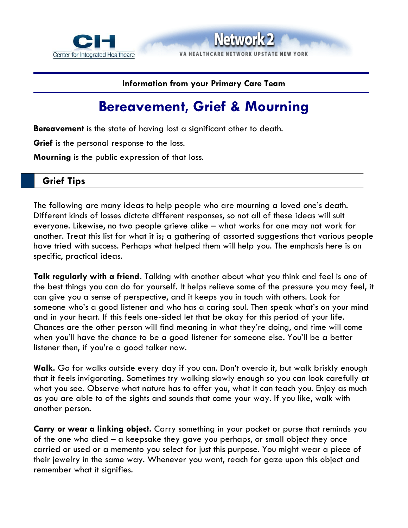

VA HEALTHCARE NETWORK UP

**Netwo** 

**TATE NEW YORK** 

# **Information from your Primary Care Team**

## **Bereavement, Grief & Mourning**

**Bereavement** is the state of having lost a significant other to death.

**Grief** is the personal response to the loss.

**Mourning** is the public expression of that loss.

### **Grief Tips**

The following are many ideas to help people who are mourning a loved one's death. Different kinds of losses dictate different responses, so not all of these ideas will suit everyone. Likewise, no two people grieve alike – what works for one may not work for another. Treat this list for what it is; a gathering of assorted suggestions that various people have tried with success. Perhaps what helped them will help you. The emphasis here is on specific, practical ideas.

**Talk regularly with a friend.** Talking with another about what you think and feel is one of the best things you can do for yourself. It helps relieve some of the pressure you may feel, it can give you a sense of perspective, and it keeps you in touch with others. Look for someone who's a good listener and who has a caring soul. Then speak what's on your mind and in your heart. If this feels one-sided let that be okay for this period of your life. Chances are the other person will find meaning in what they're doing, and time will come when you'll have the chance to be a good listener for someone else. You'll be a better listener then, if you're a good talker now.

**Walk.** Go for walks outside every day if you can. Don't overdo it, but walk briskly enough that it feels invigorating. Sometimes try walking slowly enough so you can look carefully at what you see. Observe what nature has to offer you, what it can teach you. Enjoy as much as you are able to of the sights and sounds that come your way. If you like, walk with another person.

**Carry or wear a linking object.** Carry something in your pocket or purse that reminds you of the one who died – a keepsake they gave you perhaps, or small object they once carried or used or a memento you select for just this purpose. You might wear a piece of their jewelry in the same way. Whenever you want, reach for gaze upon this object and remember what it signifies.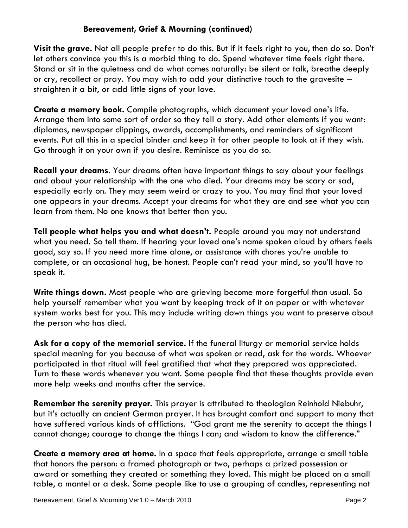**Visit the grave.** Not all people prefer to do this. But if it feels right to you, then do so. Don't let others convince you this is a morbid thing to do. Spend whatever time feels right there. Stand or sit in the quietness and do what comes naturally: be silent or talk, breathe deeply or cry, recollect or pray. You may wish to add your distinctive touch to the gravesite – straighten it a bit, or add little signs of your love.

**Create a memory book.** Compile photographs, which document your loved one's life. Arrange them into some sort of order so they tell a story. Add other elements if you want: diplomas, newspaper clippings, awards, accomplishments, and reminders of significant events. Put all this in a special binder and keep it for other people to look at if they wish. Go through it on your own if you desire. Reminisce as you do so.

**Recall your dreams**. Your dreams often have important things to say about your feelings and about your relationship with the one who died. Your dreams may be scary or sad, especially early on. They may seem weird or crazy to you. You may find that your loved one appears in your dreams. Accept your dreams for what they are and see what you can learn from them. No one knows that better than you.

**Tell people what helps you and what doesn't.** People around you may not understand what you need. So tell them. If hearing your loved one's name spoken aloud by others feels good, say so. If you need more time alone, or assistance with chores you're unable to complete, or an occasional hug, be honest. People can't read your mind, so you'll have to speak it.

**Write things down.** Most people who are grieving become more forgetful than usual. So help yourself remember what you want by keeping track of it on paper or with whatever system works best for you. This may include writing down things you want to preserve about the person who has died.

**Ask for a copy of the memorial service.** If the funeral liturgy or memorial service holds special meaning for you because of what was spoken or read, ask for the words. Whoever participated in that ritual will feel gratified that what they prepared was appreciated. Turn to these words whenever you want. Some people find that these thoughts provide even more help weeks and months after the service.

**Remember the serenity prayer.** This prayer is attributed to theologian Reinhold Niebuhr, but it's actually an ancient German prayer. It has brought comfort and support to many that have suffered various kinds of afflictions. "God grant me the serenity to accept the things I cannot change; courage to change the things I can; and wisdom to know the difference."

**Create a memory area at home.** In a space that feels appropriate, arrange a small table that honors the person: a framed photograph or two, perhaps a prized possession or award or something they created or something they loved. This might be placed on a small table, a mantel or a desk. Some people like to use a grouping of candles, representing not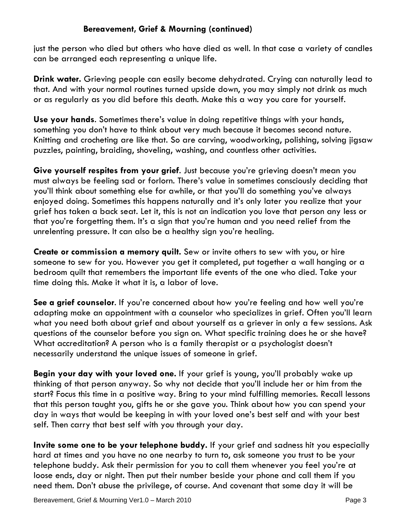just the person who died but others who have died as well. In that case a variety of candles can be arranged each representing a unique life.

**Drink water.** Grieving people can easily become dehydrated. Crying can naturally lead to that. And with your normal routines turned upside down, you may simply not drink as much or as regularly as you did before this death. Make this a way you care for yourself.

**Use your hands**. Sometimes there's value in doing repetitive things with your hands, something you don't have to think about very much because it becomes second nature. Knitting and crocheting are like that. So are carving, woodworking, polishing, solving jigsaw puzzles, painting, braiding, shoveling, washing, and countless other activities.

**Give yourself respites from your grief**. Just because you're grieving doesn't mean you must always be feeling sad or forlorn. There's value in sometimes consciously deciding that you'll think about something else for awhile, or that you'll do something you've always enjoyed doing. Sometimes this happens naturally and it's only later you realize that your grief has taken a back seat. Let it, this is not an indication you love that person any less or that you're forgetting them. It's a sign that you're human and you need relief from the unrelenting pressure. It can also be a healthy sign you're healing.

**Create or commission a memory quilt.** Sew or invite others to sew with you, or hire someone to sew for you. However you get it completed, put together a wall hanging or a bedroom quilt that remembers the important life events of the one who died. Take your time doing this. Make it what it is, a labor of love.

**See a grief counselor**. If you're concerned about how you're feeling and how well you're adapting make an appointment with a counselor who specializes in grief. Often you'll learn what you need both about grief and about yourself as a griever in only a few sessions. Ask questions of the counselor before you sign on. What specific training does he or she have? What accreditation? A person who is a family therapist or a psychologist doesn't necessarily understand the unique issues of someone in grief.

**Begin your day with your loved one.** If your grief is young, you'll probably wake up thinking of that person anyway. So why not decide that you'll include her or him from the start? Focus this time in a positive way. Bring to your mind fulfilling memories. Recall lessons that this person taught you, gifts he or she gave you. Think about how you can spend your day in ways that would be keeping in with your loved one's best self and with your best self. Then carry that best self with you through your day.

**Invite some one to be your telephone buddy.** If your grief and sadness hit you especially hard at times and you have no one nearby to turn to, ask someone you trust to be your telephone buddy. Ask their permission for you to call them whenever you feel you're at loose ends, day or night. Then put their number beside your phone and call them if you need them. Don't abuse the privilege, of course. And covenant that some day it will be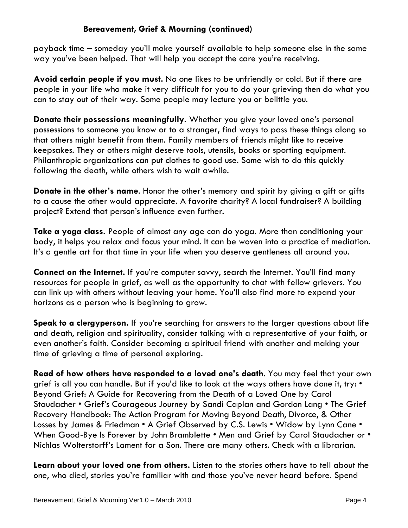payback time – someday you'll make yourself available to help someone else in the same way you've been helped. That will help you accept the care you're receiving.

**Avoid certain people if you must.** No one likes to be unfriendly or cold. But if there are people in your life who make it very difficult for you to do your grieving then do what you can to stay out of their way. Some people may lecture you or belittle you.

**Donate their possessions meaningfully.** Whether you give your loved one's personal possessions to someone you know or to a stranger, find ways to pass these things along so that others might benefit from them. Family members of friends might like to receive keepsakes. They or others might deserve tools, utensils, books or sporting equipment. Philanthropic organizations can put clothes to good use. Some wish to do this quickly following the death, while others wish to wait awhile.

**Donate in the other's name.** Honor the other's memory and spirit by giving a gift or gifts to a cause the other would appreciate. A favorite charity? A local fundraiser? A building project? Extend that person's influence even further.

**Take a yoga class.** People of almost any age can do yoga. More than conditioning your body, it helps you relax and focus your mind. It can be woven into a practice of mediation. It's a gentle art for that time in your life when you deserve gentleness all around you.

**Connect on the Internet.** If you're computer savvy, search the Internet. You'll find many resources for people in grief, as well as the opportunity to chat with fellow grievers. You can link up with others without leaving your home. You'll also find more to expand your horizons as a person who is beginning to grow.

**Speak to a clergyperson.** If you're searching for answers to the larger questions about life and death, religion and spirituality, consider talking with a representative of your faith, or even another's faith. Consider becoming a spiritual friend with another and making your time of grieving a time of personal exploring.

**Read of how others have responded to a loved one's death**. You may feel that your own grief is all you can handle. But if you'd like to look at the ways others have done it, try: • Beyond Grief: A Guide for Recovering from the Death of a Loved One by Carol Staudacher • Grief's Courageous Journey by Sandi Caplan and Gordon Lang • The Grief Recovery Handbook: The Action Program for Moving Beyond Death, Divorce, & Other Losses by James & Friedman • A Grief Observed by C.S. Lewis • Widow by Lynn Cane • When Good-Bye Is Forever by John Bramblette • Men and Grief by Carol Staudacher or • Nichlas Wolterstorff's Lament for a Son. There are many others. Check with a librarian.

**Learn about your loved one from others.** Listen to the stories others have to tell about the one, who died, stories you're familiar with and those you've never heard before. Spend